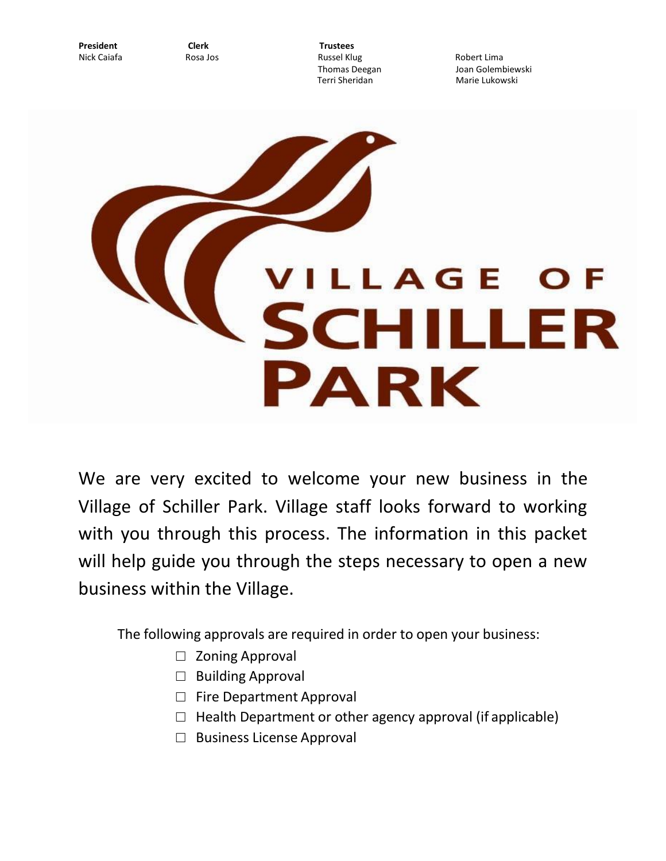**President Clerk Trustees**

Nick Caiafa Rosa Jos Russel Klug Robert Lima

Thomas Deegan **Golembiewski**<br>Terri Sheridan Jerman Joan Marie Lukowski Marie Lukowski



We are very excited to welcome your new business in the Village of Schiller Park. Village staff looks forward to working with you through this process. The information in this packet will help guide you through the steps necessary to open a new business within the Village.

The following approvals are required in order to open your business:

- □ Zoning Approval
- □ Building Approval
- □ Fire Department Approval
- $\Box$  Health Department or other agency approval (if applicable)
- □ Business License Approval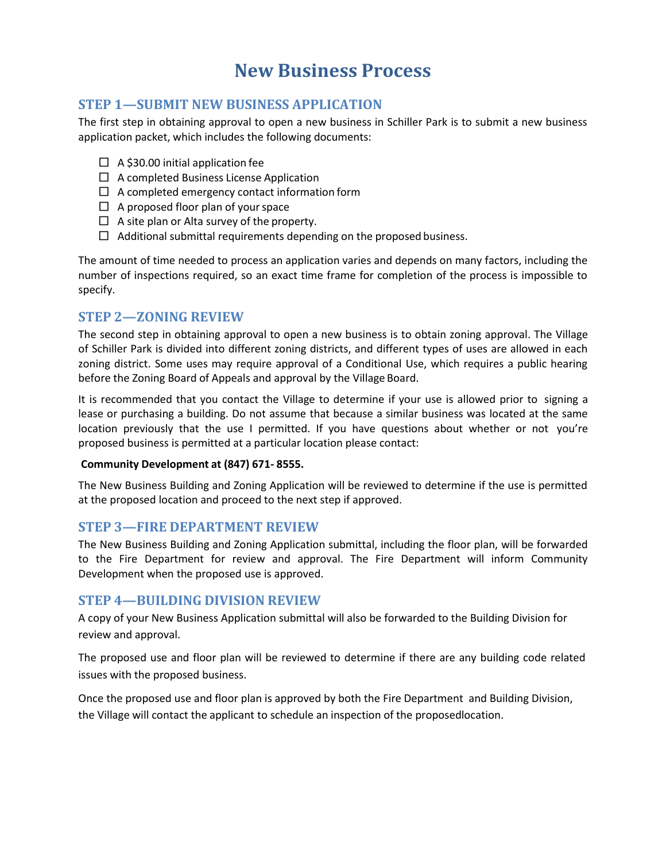# **New Business Process**

# **STEP 1—SUBMIT NEW BUSINESS APPLICATION**

The first step in obtaining approval to open a new business in Schiller Park is to submit a new business application packet, which includes the following documents:

- $\Box$  A \$30.00 initial application fee
- $\Box$  A completed Business License Application
- $\Box$  A completed emergency contact information form
- $\Box$  A proposed floor plan of your space
- $\Box$  A site plan or Alta survey of the property.
- $\Box$  Additional submittal requirements depending on the proposed business.

The amount of time needed to process an application varies and depends on many factors, including the number of inspections required, so an exact time frame for completion of the process is impossible to specify.

#### **STEP 2—ZONING REVIEW**

The second step in obtaining approval to open a new business is to obtain zoning approval. The Village of Schiller Park is divided into different zoning districts, and different types of uses are allowed in each zoning district. Some uses may require approval of a Conditional Use, which requires a public hearing before the Zoning Board of Appeals and approval by the Village Board.

It is recommended that you contact the Village to determine if your use is allowed prior to signing a lease or purchasing a building. Do not assume that because a similar business was located at the same location previously that the use I permitted. If you have questions about whether or not you're proposed business is permitted at a particular location please contact:

#### **Community Development at (847) 671- 8555.**

The New Business Building and Zoning Application will be reviewed to determine if the use is permitted at the proposed location and proceed to the next step if approved.

#### **STEP 3—FIRE DEPARTMENT REVIEW**

The New Business Building and Zoning Application submittal, including the floor plan, will be forwarded to the Fire Department for review and approval. The Fire Department will inform Community Development when the proposed use is approved.

# **STEP 4—BUILDING DIVISION REVIEW**

A copy of your New Business Application submittal will also be forwarded to the Building Division for review and approval.

The proposed use and floor plan will be reviewed to determine if there are any building code related issues with the proposed business.

Once the proposed use and floor plan is approved by both the Fire Department and Building Division, the Village will contact the applicant to schedule an inspection of the proposedlocation.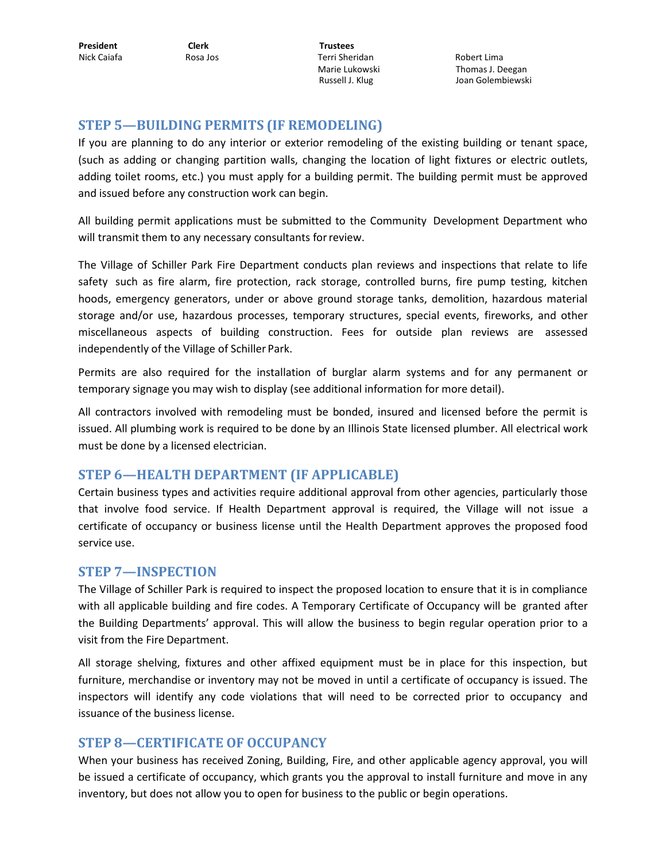Nick Caiafa Rosa Jos Terri Sheridan Robert Lima

Marie Lukowski Thomas J. Deegan Russell J. Klug **State Golembiewski** 

# **STEP 5—BUILDING PERMITS (IF REMODELING)**

If you are planning to do any interior or exterior remodeling of the existing building or tenant space, (such as adding or changing partition walls, changing the location of light fixtures or electric outlets, adding toilet rooms, etc.) you must apply for a building permit. The building permit must be approved and issued before any construction work can begin.

All building permit applications must be submitted to the Community Development Department who will transmit them to any necessary consultants forreview.

The Village of Schiller Park Fire Department conducts plan reviews and inspections that relate to life safety such as fire alarm, fire protection, rack storage, controlled burns, fire pump testing, kitchen hoods, emergency generators, under or above ground storage tanks, demolition, hazardous material storage and/or use, hazardous processes, temporary structures, special events, fireworks, and other miscellaneous aspects of building construction. Fees for outside plan reviews are assessed independently of the Village of Schiller Park.

Permits are also required for the installation of burglar alarm systems and for any permanent or temporary signage you may wish to display (see additional information for more detail).

All contractors involved with remodeling must be bonded, insured and licensed before the permit is issued. All plumbing work is required to be done by an Illinois State licensed plumber. All electrical work must be done by a licensed electrician.

# **STEP 6—HEALTH DEPARTMENT (IF APPLICABLE)**

Certain business types and activities require additional approval from other agencies, particularly those that involve food service. If Health Department approval is required, the Village will not issue a certificate of occupancy or business license until the Health Department approves the proposed food service use.

#### **STEP 7—INSPECTION**

The Village of Schiller Park is required to inspect the proposed location to ensure that it is in compliance with all applicable building and fire codes. A Temporary Certificate of Occupancy will be granted after the Building Departments' approval. This will allow the business to begin regular operation prior to a visit from the Fire Department.

All storage shelving, fixtures and other affixed equipment must be in place for this inspection, but furniture, merchandise or inventory may not be moved in until a certificate of occupancy is issued. The inspectors will identify any code violations that will need to be corrected prior to occupancy and issuance of the business license.

# **STEP 8—CERTIFICATE OF OCCUPANCY**

When your business has received Zoning, Building, Fire, and other applicable agency approval, you will be issued a certificate of occupancy, which grants you the approval to install furniture and move in any inventory, but does not allow you to open for business to the public or begin operations.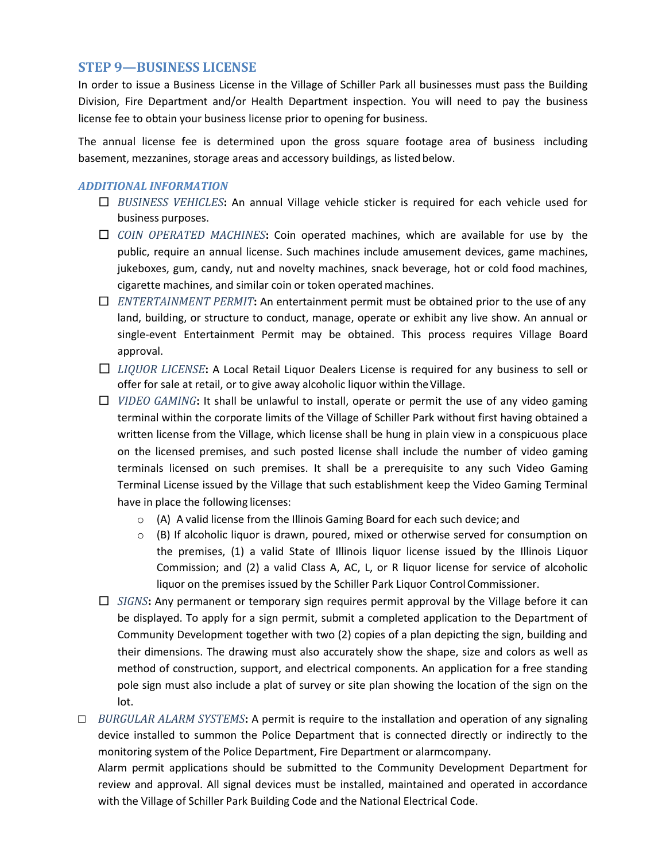### **STEP 9—BUSINESS LICENSE**

In order to issue a Business License in the Village of Schiller Park all businesses must pass the Building Division, Fire Department and/or Health Department inspection. You will need to pay the business license fee to obtain your business license prior to opening for business.

The annual license fee is determined upon the gross square footage area of business including basement, mezzanines, storage areas and accessory buildings, as listed below.

#### *ADDITIONAL INFORMATION*

- □ *BUSINESS VEHICLES***:** An annual Village vehicle sticker is required for each vehicle used for business purposes.
- □ *COIN OPERATED MACHINES***:** Coin operated machines, which are available for use by the public, require an annual license. Such machines include amusement devices, game machines, jukeboxes, gum, candy, nut and novelty machines, snack beverage, hot or cold food machines, cigarette machines, and similar coin or token operated machines.
- □ *ENTERTAINMENT PERMIT***:** An entertainment permit must be obtained prior to the use of any land, building, or structure to conduct, manage, operate or exhibit any live show. An annual or single-event Entertainment Permit may be obtained. This process requires Village Board approval.
- □ *LIQUOR LICENSE***:** A Local Retail Liquor Dealers License is required for any business to sell or offer for sale at retail, or to give away alcoholic liquor within the Village.
- □ *VIDEO GAMING***:** It shall be unlawful to install, operate or permit the use of any video gaming terminal within the corporate limits of the Village of Schiller Park without first having obtained a written license from the Village, which license shall be hung in plain view in a conspicuous place on the licensed premises, and such posted license shall include the number of video gaming terminals licensed on such premises. It shall be a prerequisite to any such Video Gaming Terminal License issued by the Village that such establishment keep the Video Gaming Terminal have in place the following licenses:
	- $\circ$  (A) A valid license from the Illinois Gaming Board for each such device; and
	- $\circ$  (B) If alcoholic liquor is drawn, poured, mixed or otherwise served for consumption on the premises, (1) a valid State of Illinois liquor license issued by the Illinois Liquor Commission; and (2) a valid Class A, AC, L, or R liquor license for service of alcoholic liquor on the premises issued by the Schiller Park Liquor ControlCommissioner.
- □ *SIGNS***:** Any permanent or temporary sign requires permit approval by the Village before it can be displayed. To apply for a sign permit, submit a completed application to the Department of Community Development together with two (2) copies of a plan depicting the sign, building and their dimensions. The drawing must also accurately show the shape, size and colors as well as method of construction, support, and electrical components. An application for a free standing pole sign must also include a plat of survey or site plan showing the location of the sign on the lot.

□ *BURGULAR ALARM SYSTEMS***:** A permit is require to the installation and operation of any signaling device installed to summon the Police Department that is connected directly or indirectly to the monitoring system of the Police Department, Fire Department or alarmcompany.

Alarm permit applications should be submitted to the Community Development Department for review and approval. All signal devices must be installed, maintained and operated in accordance with the Village of Schiller Park Building Code and the National Electrical Code.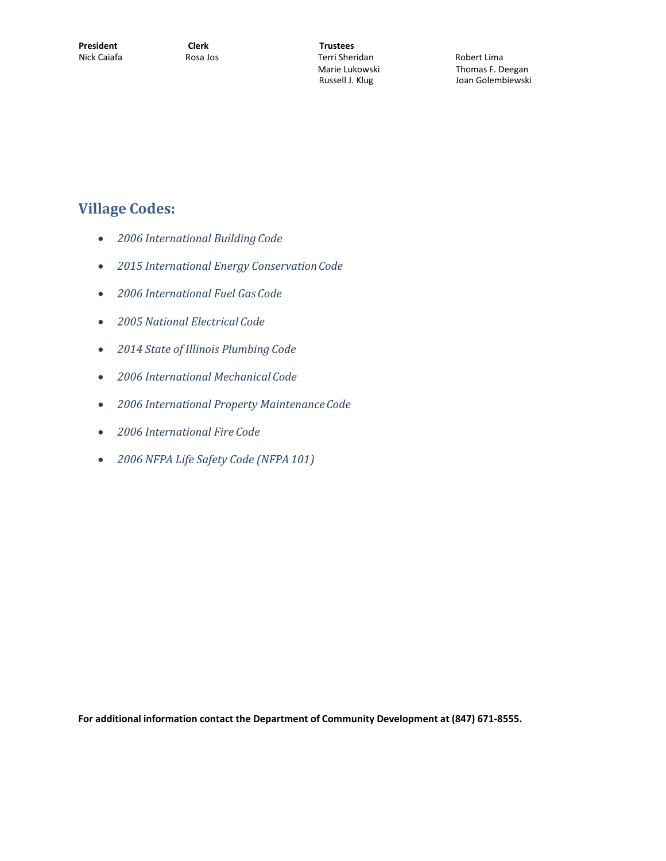Marie Lukowski **Thomas F. Deegan**<br>Russell J. Klug **National State State Bloom** Joan Golembiewski

# **Village Codes:**

- *2006 International Building Code*
- *2015 International Energy ConservationCode*
- *2006 International Fuel Gas Code*
- *2005 National Electrical Code*
- *2014 State of Illinois Plumbing Code*
- *2006 International Mechanical Code*
- *2006 International Property MaintenanceCode*
- *2006 International Fire Code*
- *2006 NFPA Life Safety Code (NFPA 101)*

**For additional information contact the Department of Community Development at (847) 671-8555.**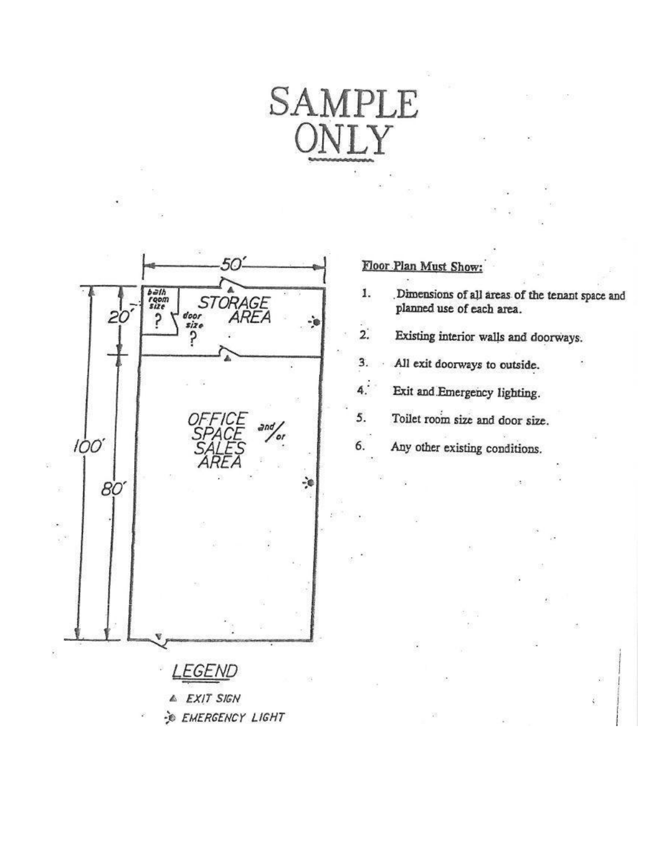# SAMPLE

6.



# Floor Plan Must Show:

Dimensions of all areas of the tenant space and planned use of each area. 1.

 $2.$ Existing interior walls and doorways.

3. All exit doorways to outside.

 $\ddot{4}$ . Exit and Emergency lighting.

Toilet room size and door size. 5.

Any other existing conditions.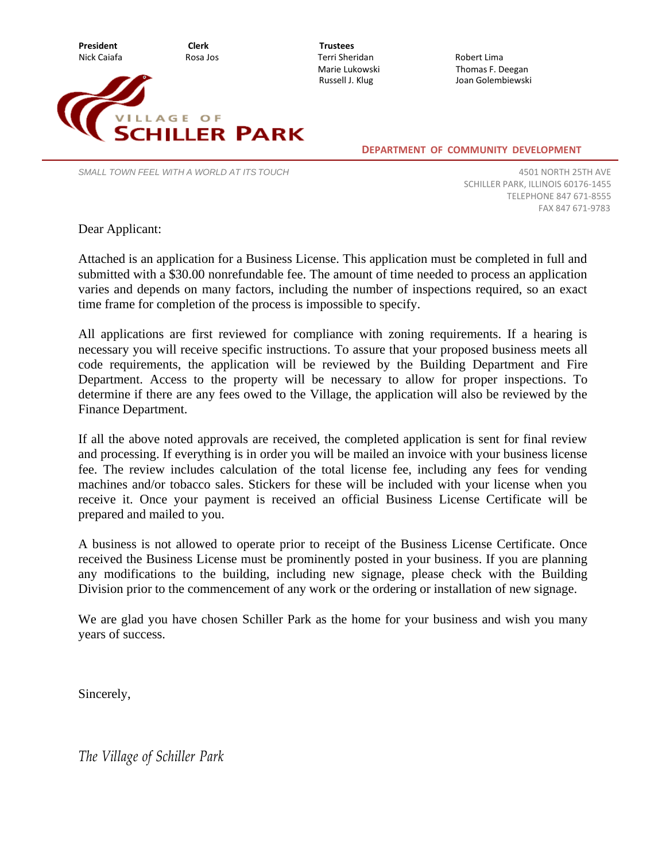



Marie Lukowski **Thomas F. Deegan**<br>Russell J. Klug **New State State State State State** Joan Golembiewski

**DEPARTMENT OF COMMUNITY DEVELOPMENT**

*SMALL TOWN FEEL WITH A WORLD AT ITS TOUCH*

4501 NORTH 25TH AVE SCHILLER PARK, ILLINOIS 60176-1455 TELEPHONE 847 671-8555 FAX 847 671-9783

Dear Applicant:

Attached is an application for a Business License. This application must be completed in full and submitted with a \$30.00 nonrefundable fee. The amount of time needed to process an application varies and depends on many factors, including the number of inspections required, so an exact time frame for completion of the process is impossible to specify.

All applications are first reviewed for compliance with zoning requirements. If a hearing is necessary you will receive specific instructions. To assure that your proposed business meets all code requirements, the application will be reviewed by the Building Department and Fire Department. Access to the property will be necessary to allow for proper inspections. To determine if there are any fees owed to the Village, the application will also be reviewed by the Finance Department.

If all the above noted approvals are received, the completed application is sent for final review and processing. If everything is in order you will be mailed an invoice with your business license fee. The review includes calculation of the total license fee, including any fees for vending machines and/or tobacco sales. Stickers for these will be included with your license when you receive it. Once your payment is received an official Business License Certificate will be prepared and mailed to you.

A business is not allowed to operate prior to receipt of the Business License Certificate. Once received the Business License must be prominently posted in your business. If you are planning any modifications to the building, including new signage, please check with the Building Division prior to the commencement of any work or the ordering or installation of new signage.

We are glad you have chosen Schiller Park as the home for your business and wish you many years of success.

Sincerely,

*The Village of Schiller Park*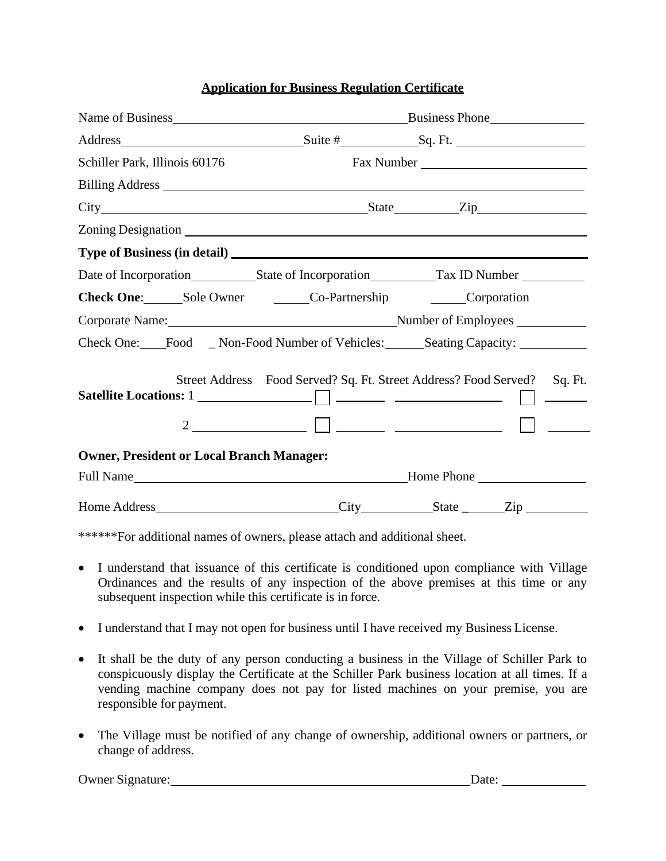#### **Application for Business Regulation Certificate**

|                                                                                                                                                                                                                                | Business Phone                                                   |                                                                                  |  |  |  |  |
|--------------------------------------------------------------------------------------------------------------------------------------------------------------------------------------------------------------------------------|------------------------------------------------------------------|----------------------------------------------------------------------------------|--|--|--|--|
|                                                                                                                                                                                                                                |                                                                  |                                                                                  |  |  |  |  |
| Schiller Park, Illinois 60176                                                                                                                                                                                                  |                                                                  |                                                                                  |  |  |  |  |
| Billing Address The Communication of the Communication of the Communication of the Communication of the Communication of the Communication of the Communication of the Communication of the Communication of the Communication |                                                                  |                                                                                  |  |  |  |  |
|                                                                                                                                                                                                                                |                                                                  |                                                                                  |  |  |  |  |
|                                                                                                                                                                                                                                |                                                                  |                                                                                  |  |  |  |  |
|                                                                                                                                                                                                                                |                                                                  |                                                                                  |  |  |  |  |
|                                                                                                                                                                                                                                |                                                                  | Date of Incorporation<br>State of Incorporation<br>Tax ID Number                 |  |  |  |  |
| Check One: Sole Owner Co-Partnership Corporation                                                                                                                                                                               |                                                                  |                                                                                  |  |  |  |  |
|                                                                                                                                                                                                                                |                                                                  |                                                                                  |  |  |  |  |
|                                                                                                                                                                                                                                |                                                                  | Check One: Food _ Non-Food Number of Vehicles: ______ Seating Capacity: ________ |  |  |  |  |
|                                                                                                                                                                                                                                | Street Address Food Served? Sq. Ft. Street Address? Food Served? | Sq. Ft.<br>Satellite Locations: 1                                                |  |  |  |  |
| <b>Owner, President or Local Branch Manager:</b>                                                                                                                                                                               |                                                                  |                                                                                  |  |  |  |  |
|                                                                                                                                                                                                                                |                                                                  |                                                                                  |  |  |  |  |
|                                                                                                                                                                                                                                |                                                                  |                                                                                  |  |  |  |  |

\*\*\*\*\*\*For additional names of owners, please attach and additional sheet.

- I understand that issuance of this certificate is conditioned upon compliance with Village Ordinances and the results of any inspection of the above premises at this time or any subsequent inspection while this certificate is in force.
- I understand that I may not open for business until I have received my Business License.
- It shall be the duty of any person conducting a business in the Village of Schiller Park to conspicuously display the Certificate at the Schiller Park business location at all times. If a vending machine company does not pay for listed machines on your premise, you are responsible for payment.
- The Village must be notified of any change of ownership, additional owners or partners, or change of address.

Owner Signature: Date: Date: Date: